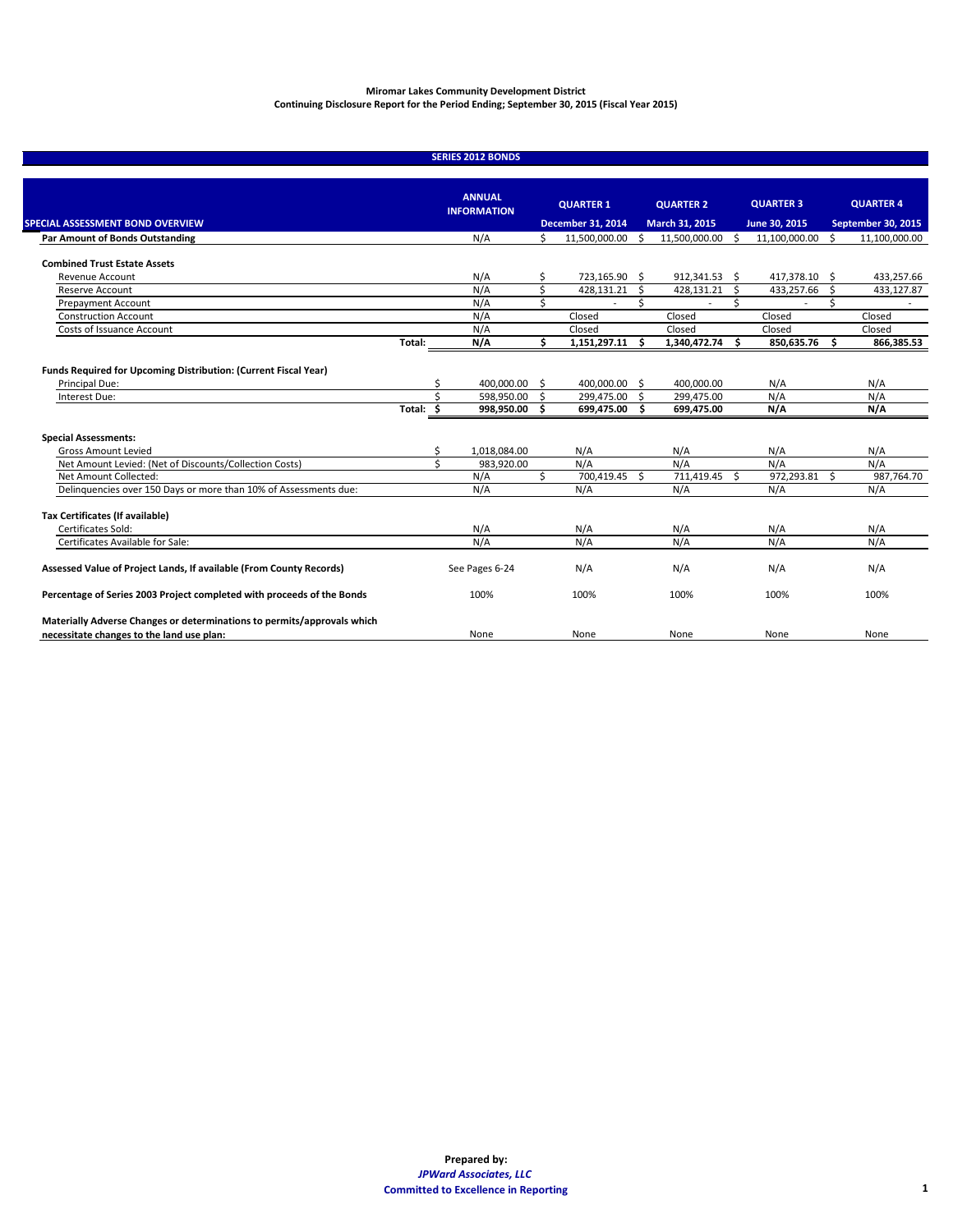Miromar Lakes Community Development District

Annual Continuing Disclosure Report Period Ending September 30, 2015



JPWard and Associates, LLC

**2041 NE 6 T H TERRACE WILTON MANORS, FLORIDA 33305**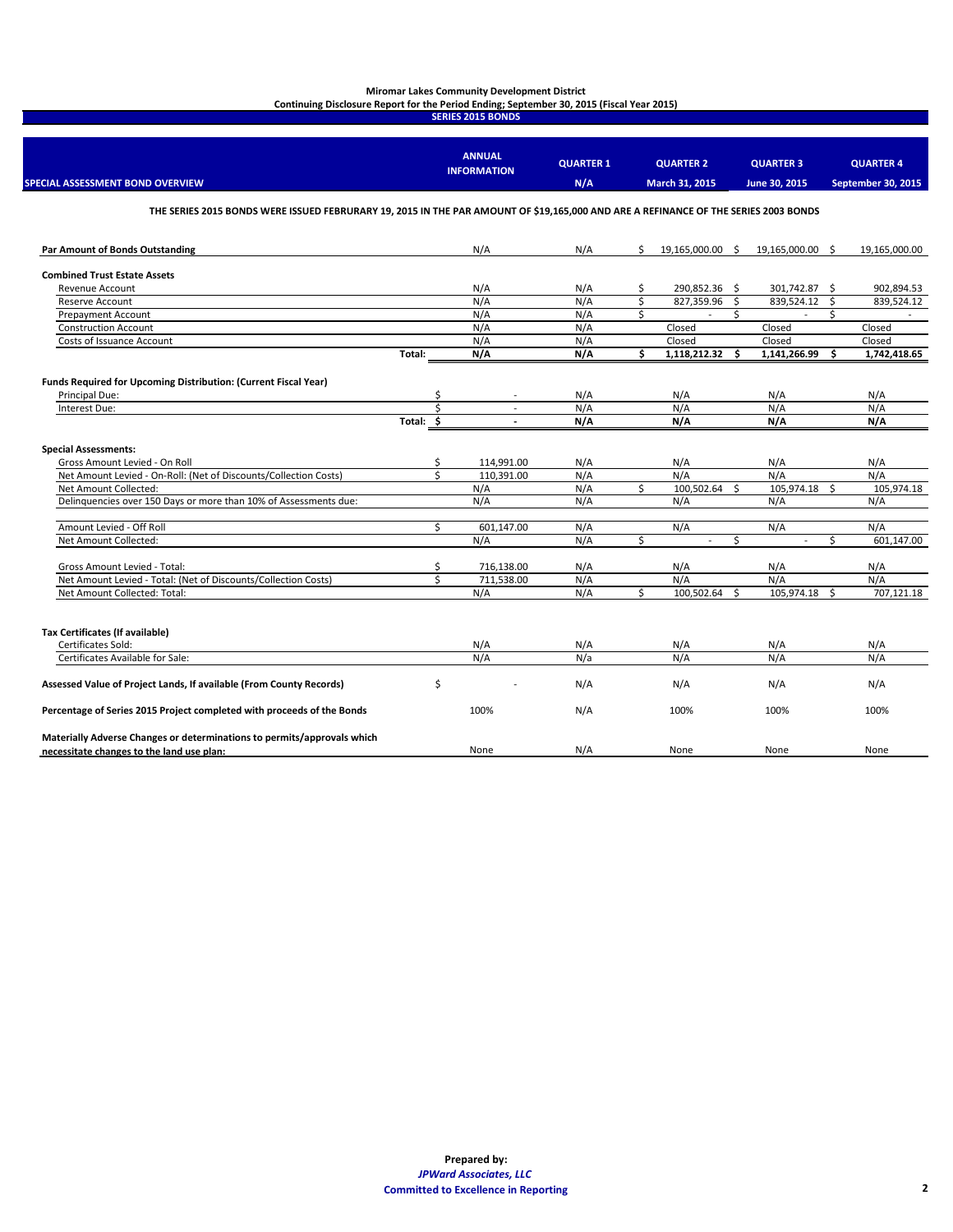The Developer's Information has been provided the Miromar Development, Inc.

The Issuer's Annual Information has been provided by **JPWard & Associates, LLC.** as the District Manager (Dissemination Agent) of the District.

For additional information on the District, please contact the District Manager as follows:

# **JPWard and Associates, LLC**

2041 Northeast  $6<sup>th</sup>$  Terrace Wilton Manors, Florida 33305

Attention: James P. Ward

Phone: (954) 658-4900 E-Mail: [Ward9490@comcast.net](mailto:Ward9490@comcast.net)